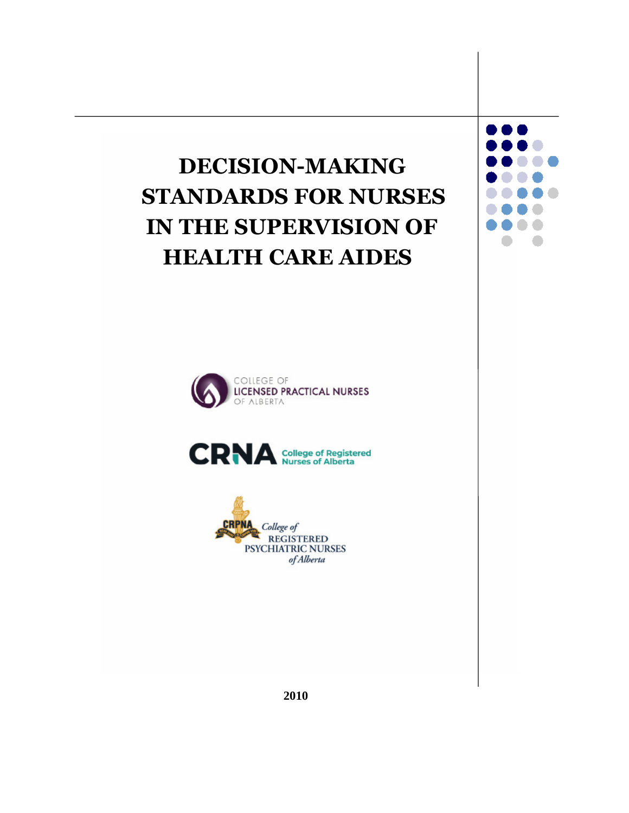# **DECISION-MAKING STANDARDS FOR NURSES IN THE SUPERVISION OF HEALTH CARE AIDES**









 **2010**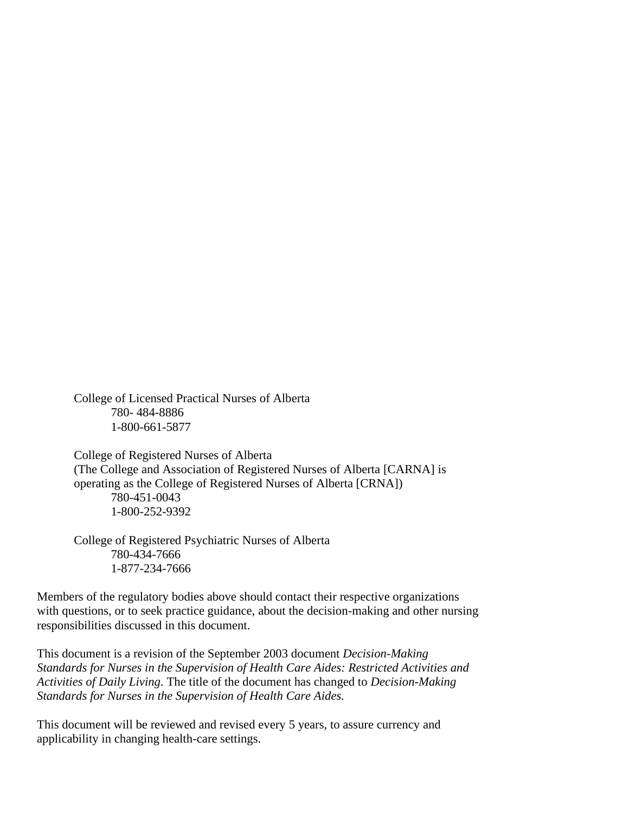College of Licensed Practical Nurses of Alberta 780- 484-8886 1-800-661-5877

College of Registered Nurses of Alberta (The College and Association of Registered Nurses of Alberta [CARNA] is operating as the College of Registered Nurses of Alberta [CRNA]) 780-451-0043 1-800-252-9392

College of Registered Psychiatric Nurses of Alberta 780-434-7666 1-877-234-7666

Members of the regulatory bodies above should contact their respective organizations with questions, or to seek practice guidance, about the decision-making and other nursing responsibilities discussed in this document.

This document is a revision of the September 2003 document *Decision-Making Standards for Nurses in the Supervision of Health Care Aides: Restricted Activities and Activities of Daily Living*. The title of the document has changed to *Decision-Making Standards for Nurses in the Supervision of Health Care Aides.*

This document will be reviewed and revised every 5 years, to assure currency and applicability in changing health-care settings.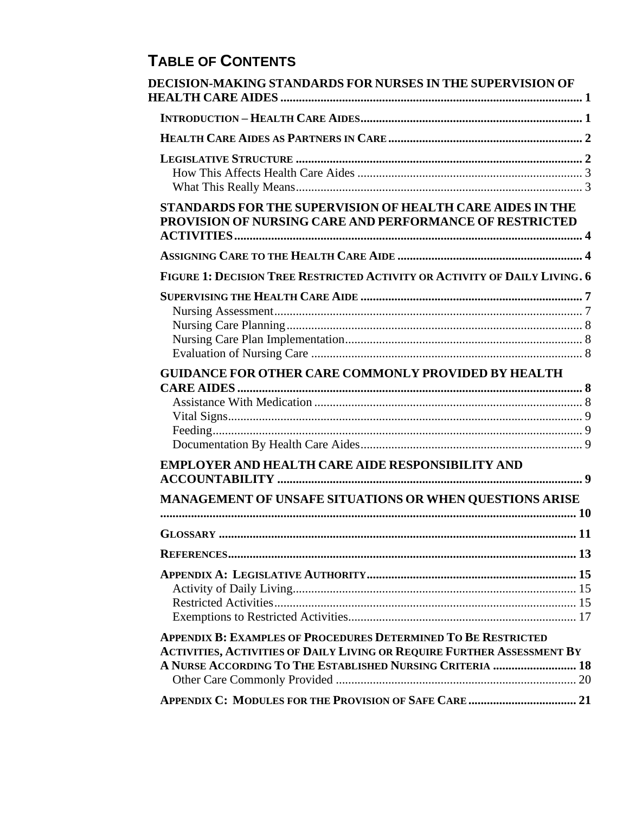# **TABLE OF CONTENTS**

| DECISION-MAKING STANDARDS FOR NURSES IN THE SUPERVISION OF                                                                                  |     |
|---------------------------------------------------------------------------------------------------------------------------------------------|-----|
|                                                                                                                                             |     |
|                                                                                                                                             |     |
|                                                                                                                                             |     |
| <b>STANDARDS FOR THE SUPERVISION OF HEALTH CARE AIDES IN THE</b><br>PROVISION OF NURSING CARE AND PERFORMANCE OF RESTRICTED                 |     |
|                                                                                                                                             |     |
| FIGURE 1: DECISION TREE RESTRICTED ACTIVITY OR ACTIVITY OF DAILY LIVING. 6                                                                  |     |
|                                                                                                                                             |     |
|                                                                                                                                             |     |
|                                                                                                                                             |     |
|                                                                                                                                             |     |
|                                                                                                                                             |     |
| <b>GUIDANCE FOR OTHER CARE COMMONLY PROVIDED BY HEALTH</b>                                                                                  |     |
|                                                                                                                                             |     |
|                                                                                                                                             |     |
|                                                                                                                                             |     |
|                                                                                                                                             |     |
| <b>EMPLOYER AND HEALTH CARE AIDE RESPONSIBILITY AND</b>                                                                                     |     |
|                                                                                                                                             |     |
| MANAGEMENT OF UNSAFE SITUATIONS OR WHEN QUESTIONS ARISE                                                                                     |     |
|                                                                                                                                             |     |
| <b>GLOSSARY</b> .                                                                                                                           | -11 |
|                                                                                                                                             |     |
|                                                                                                                                             |     |
|                                                                                                                                             |     |
|                                                                                                                                             |     |
|                                                                                                                                             |     |
| <b>APPENDIX B: EXAMPLES OF PROCEDURES DETERMINED TO BE RESTRICTED</b>                                                                       |     |
| <b>ACTIVITIES, ACTIVITIES OF DAILY LIVING OR REQUIRE FURTHER ASSESSMENT BY</b><br>A NURSE ACCORDING TO THE ESTABLISHED NURSING CRITERIA  18 |     |
|                                                                                                                                             |     |
|                                                                                                                                             |     |
|                                                                                                                                             |     |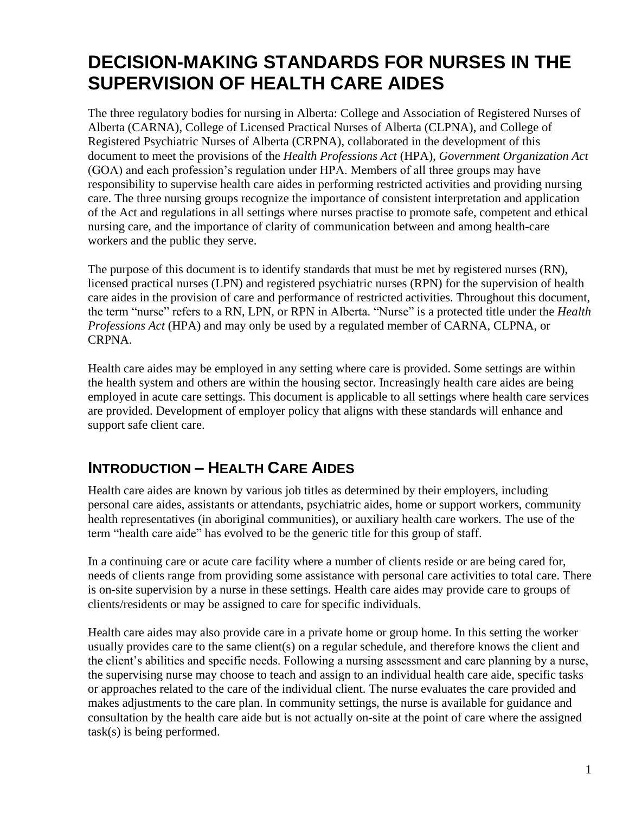# **DECISION-MAKING STANDARDS FOR NURSES IN THE SUPERVISION OF HEALTH CARE AIDES**

The three regulatory bodies for nursing in Alberta: College and Association of Registered Nurses of Alberta (CARNA), College of Licensed Practical Nurses of Alberta (CLPNA), and College of Registered Psychiatric Nurses of Alberta (CRPNA), collaborated in the development of this document to meet the provisions of the *Health Professions Act* (HPA), *Government Organization Act* (GOA) and each profession's regulation under HPA. Members of all three groups may have responsibility to supervise health care aides in performing restricted activities and providing nursing care. The three nursing groups recognize the importance of consistent interpretation and application of the Act and regulations in all settings where nurses practise to promote safe, competent and ethical nursing care, and the importance of clarity of communication between and among health-care workers and the public they serve.

The purpose of this document is to identify standards that must be met by registered nurses (RN), licensed practical nurses (LPN) and registered psychiatric nurses (RPN) for the supervision of health care aides in the provision of care and performance of restricted activities. Throughout this document, the term "nurse" refers to a RN, LPN, or RPN in Alberta. "Nurse" is a protected title under the *Health Professions Act* (HPA) and may only be used by a regulated member of CARNA, CLPNA, or CRPNA.

Health care aides may be employed in any setting where care is provided. Some settings are within the health system and others are within the housing sector. Increasingly health care aides are being employed in acute care settings. This document is applicable to all settings where health care services are provided. Development of employer policy that aligns with these standards will enhance and support safe client care.

# **INTRODUCTION – HEALTH CARE AIDES**

Health care aides are known by various job titles as determined by their employers, including personal care aides, assistants or attendants, psychiatric aides, home or support workers, community health representatives (in aboriginal communities), or auxiliary health care workers. The use of the term "health care aide" has evolved to be the generic title for this group of staff.

In a continuing care or acute care facility where a number of clients reside or are being cared for, needs of clients range from providing some assistance with personal care activities to total care. There is on-site supervision by a nurse in these settings. Health care aides may provide care to groups of clients/residents or may be assigned to care for specific individuals.

Health care aides may also provide care in a private home or group home. In this setting the worker usually provides care to the same client(s) on a regular schedule, and therefore knows the client and the client's abilities and specific needs. Following a nursing assessment and care planning by a nurse, the supervising nurse may choose to teach and assign to an individual health care aide, specific tasks or approaches related to the care of the individual client. The nurse evaluates the care provided and makes adjustments to the care plan. In community settings, the nurse is available for guidance and consultation by the health care aide but is not actually on-site at the point of care where the assigned task(s) is being performed.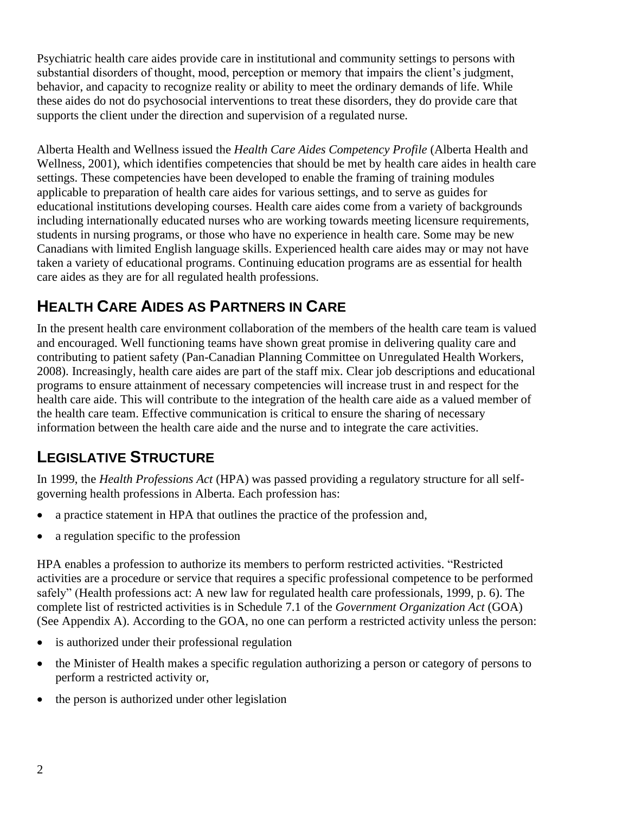Psychiatric health care aides provide care in institutional and community settings to persons with substantial disorders of thought, mood, perception or memory that impairs the client's judgment, behavior, and capacity to recognize reality or ability to meet the ordinary demands of life. While these aides do not do psychosocial interventions to treat these disorders, they do provide care that supports the client under the direction and supervision of a regulated nurse.

Alberta Health and Wellness issued the *Health Care Aides Competency Profile* (Alberta Health and Wellness, 2001), which identifies competencies that should be met by health care aides in health care settings. These competencies have been developed to enable the framing of training modules applicable to preparation of health care aides for various settings, and to serve as guides for educational institutions developing courses. Health care aides come from a variety of backgrounds including internationally educated nurses who are working towards meeting licensure requirements, students in nursing programs, or those who have no experience in health care. Some may be new Canadians with limited English language skills. Experienced health care aides may or may not have taken a variety of educational programs. Continuing education programs are as essential for health care aides as they are for all regulated health professions.

# **HEALTH CARE AIDES AS PARTNERS IN CARE**

In the present health care environment collaboration of the members of the health care team is valued and encouraged. Well functioning teams have shown great promise in delivering quality care and contributing to patient safety (Pan-Canadian Planning Committee on Unregulated Health Workers, 2008). Increasingly, health care aides are part of the staff mix. Clear job descriptions and educational programs to ensure attainment of necessary competencies will increase trust in and respect for the health care aide. This will contribute to the integration of the health care aide as a valued member of the health care team. Effective communication is critical to ensure the sharing of necessary information between the health care aide and the nurse and to integrate the care activities.

# **LEGISLATIVE STRUCTURE**

In 1999, the *Health Professions Act* (HPA) was passed providing a regulatory structure for all selfgoverning health professions in Alberta. Each profession has:

- a practice statement in HPA that outlines the practice of the profession and,
- a regulation specific to the profession

HPA enables a profession to authorize its members to perform restricted activities. "Restricted activities are a procedure or service that requires a specific professional competence to be performed safely" (Health professions act: A new law for regulated health care professionals, 1999, p. 6). The complete list of restricted activities is in Schedule 7.1 of the *Government Organization Act* (GOA) (See Appendix A). According to the GOA, no one can perform a restricted activity unless the person:

- is authorized under their professional regulation
- the Minister of Health makes a specific regulation authorizing a person or category of persons to perform a restricted activity or,
- the person is authorized under other legislation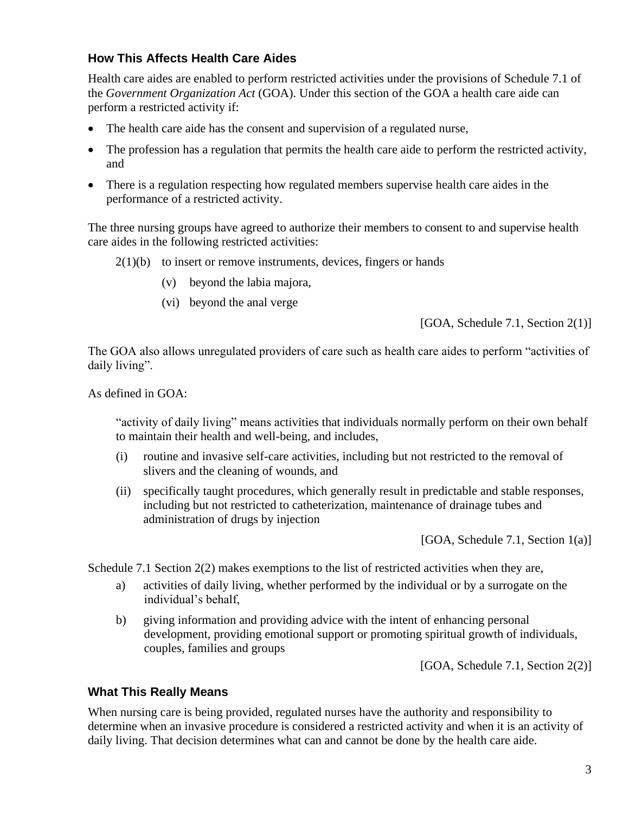### **How This Affects Health Care Aides**

Health care aides are enabled to perform restricted activities under the provisions of Schedule 7.1 of the *Government Organization Act* (GOA). Under this section of the GOA a health care aide can perform a restricted activity if:

- The health care aide has the consent and supervision of a regulated nurse,
- The profession has a regulation that permits the health care aide to perform the restricted activity, and
- There is a regulation respecting how regulated members supervise health care aides in the performance of a restricted activity.

The three nursing groups have agreed to authorize their members to consent to and supervise health care aides in the following restricted activities:

- $2(1)(b)$  to insert or remove instruments, devices, fingers or hands
	- (v) beyond the labia majora,
	- (vi) beyond the anal verge

[GOA, Schedule 7.1, Section 2(1)]

The GOA also allows unregulated providers of care such as health care aides to perform "activities of daily living".

As defined in GOA:

"activity of daily living" means activities that individuals normally perform on their own behalf to maintain their health and well-being, and includes,

- (i) routine and invasive self-care activities, including but not restricted to the removal of slivers and the cleaning of wounds, and
- (ii) specifically taught procedures, which generally result in predictable and stable responses, including but not restricted to catheterization, maintenance of drainage tubes and administration of drugs by injection

[GOA, Schedule 7.1, Section 1(a)]

Schedule 7.1 Section 2(2) makes exemptions to the list of restricted activities when they are,

- a) activities of daily living, whether performed by the individual or by a surrogate on the individual's behalf,
- b) giving information and providing advice with the intent of enhancing personal development, providing emotional support or promoting spiritual growth of individuals, couples, families and groups

[GOA, Schedule 7.1, Section 2(2)]

#### **What This Really Means**

When nursing care is being provided, regulated nurses have the authority and responsibility to determine when an invasive procedure is considered a restricted activity and when it is an activity of daily living. That decision determines what can and cannot be done by the health care aide.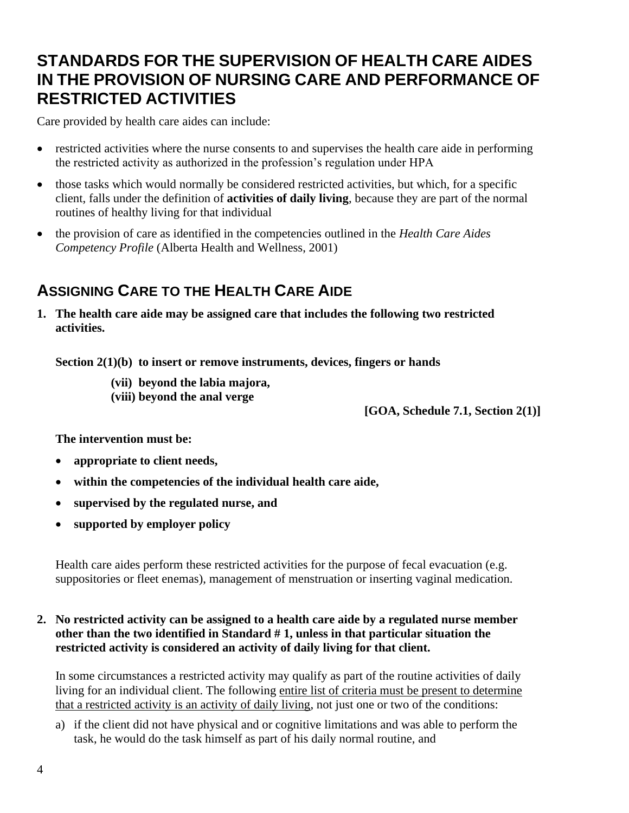# **STANDARDS FOR THE SUPERVISION OF HEALTH CARE AIDES IN THE PROVISION OF NURSING CARE AND PERFORMANCE OF RESTRICTED ACTIVITIES**

Care provided by health care aides can include:

- restricted activities where the nurse consents to and supervises the health care aide in performing the restricted activity as authorized in the profession's regulation under HPA
- those tasks which would normally be considered restricted activities, but which, for a specific client, falls under the definition of **activities of daily living**, because they are part of the normal routines of healthy living for that individual
- the provision of care as identified in the competencies outlined in the *Health Care Aides Competency Profile* (Alberta Health and Wellness, 2001)

# **ASSIGNING CARE TO THE HEALTH CARE AIDE**

**1. The health care aide may be assigned care that includes the following two restricted activities.**

**Section 2(1)(b) to insert or remove instruments, devices, fingers or hands**

- **(vii) beyond the labia majora,**
- **(viii) beyond the anal verge**

**[GOA, Schedule 7.1, Section 2(1)]**

**The intervention must be:**

- **appropriate to client needs,**
- **within the competencies of the individual health care aide,**
- **supervised by the regulated nurse, and**
- **supported by employer policy**

Health care aides perform these restricted activities for the purpose of fecal evacuation (e.g. suppositories or fleet enemas), management of menstruation or inserting vaginal medication.

#### **2. No restricted activity can be assigned to a health care aide by a regulated nurse member other than the two identified in Standard # 1, unless in that particular situation the restricted activity is considered an activity of daily living for that client.**

In some circumstances a restricted activity may qualify as part of the routine activities of daily living for an individual client. The following entire list of criteria must be present to determine that a restricted activity is an activity of daily living, not just one or two of the conditions:

a) if the client did not have physical and or cognitive limitations and was able to perform the task, he would do the task himself as part of his daily normal routine, and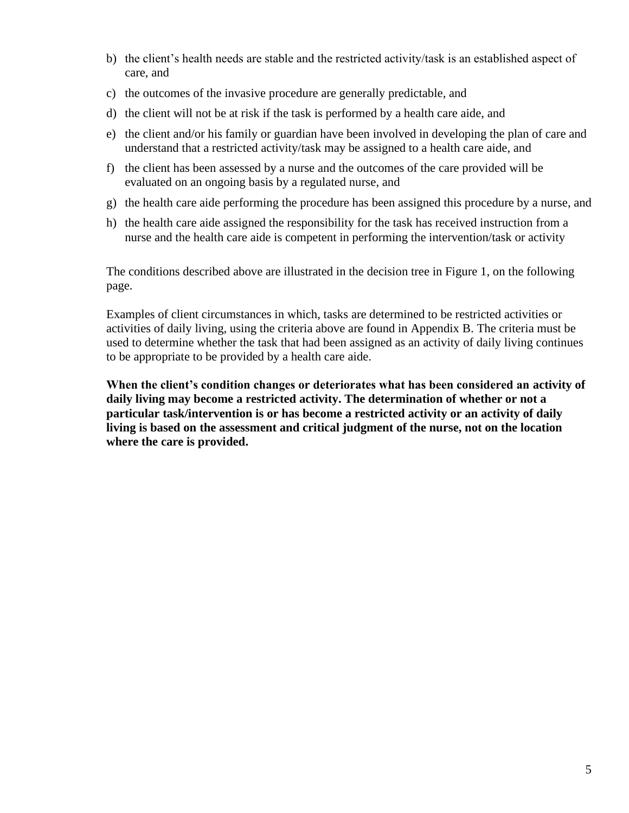- b) the client's health needs are stable and the restricted activity/task is an established aspect of care, and
- c) the outcomes of the invasive procedure are generally predictable, and
- d) the client will not be at risk if the task is performed by a health care aide, and
- e) the client and/or his family or guardian have been involved in developing the plan of care and understand that a restricted activity/task may be assigned to a health care aide, and
- f) the client has been assessed by a nurse and the outcomes of the care provided will be evaluated on an ongoing basis by a regulated nurse, and
- g) the health care aide performing the procedure has been assigned this procedure by a nurse, and
- h) the health care aide assigned the responsibility for the task has received instruction from a nurse and the health care aide is competent in performing the intervention/task or activity

The conditions described above are illustrated in the decision tree in Figure 1, on the following page.

Examples of client circumstances in which, tasks are determined to be restricted activities or activities of daily living, using the criteria above are found in Appendix B. The criteria must be used to determine whether the task that had been assigned as an activity of daily living continues to be appropriate to be provided by a health care aide.

**When the client's condition changes or deteriorates what has been considered an activity of daily living may become a restricted activity. The determination of whether or not a particular task/intervention is or has become a restricted activity or an activity of daily living is based on the assessment and critical judgment of the nurse, not on the location where the care is provided.**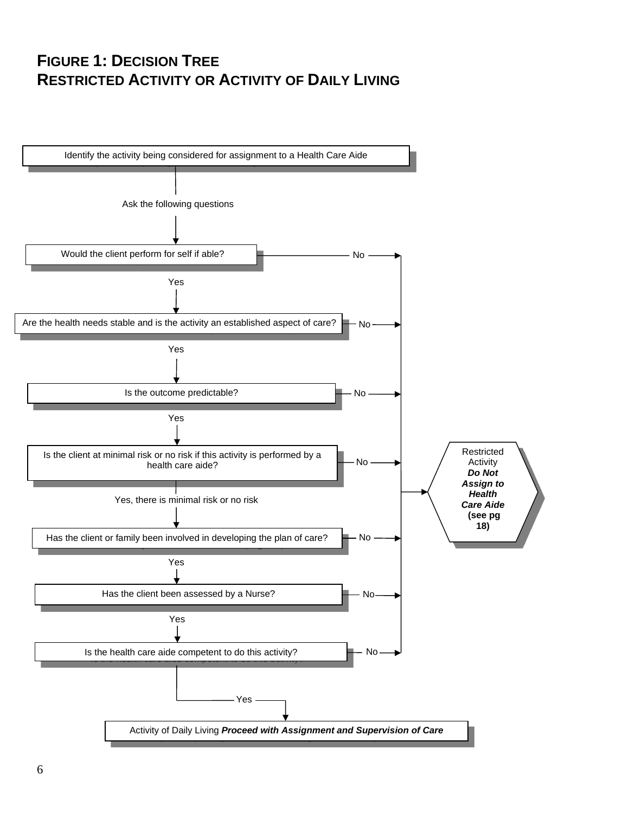# **FIGURE 1: DECISION TREE RESTRICTED ACTIVITY OR ACTIVITY OF DAILY LIVING**

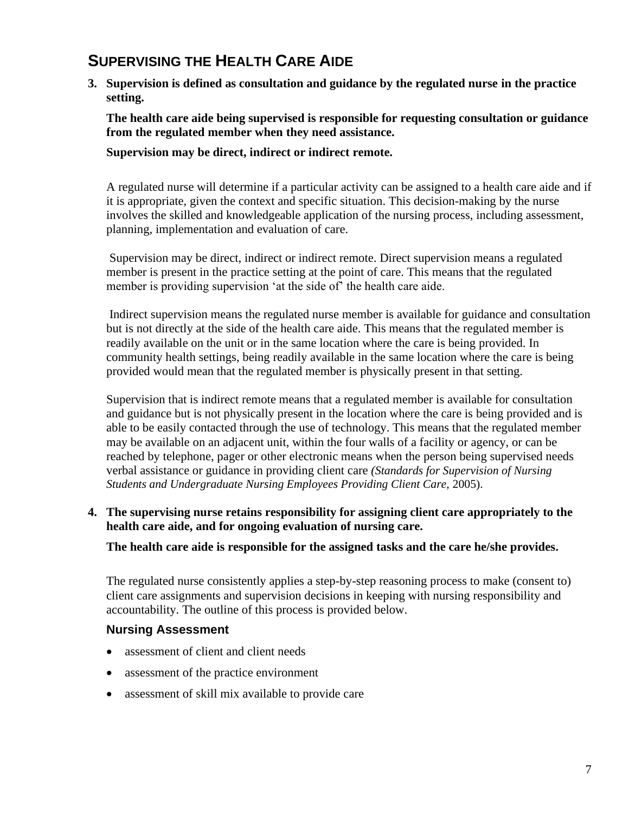### **SUPERVISING THE HEALTH CARE AIDE**

**3. Supervision is defined as consultation and guidance by the regulated nurse in the practice setting.**

**The health care aide being supervised is responsible for requesting consultation or guidance from the regulated member when they need assistance.** 

**Supervision may be direct, indirect or indirect remote.**

A regulated nurse will determine if a particular activity can be assigned to a health care aide and if it is appropriate, given the context and specific situation. This decision-making by the nurse involves the skilled and knowledgeable application of the nursing process, including assessment, planning, implementation and evaluation of care.

Supervision may be direct, indirect or indirect remote. Direct supervision means a regulated member is present in the practice setting at the point of care. This means that the regulated member is providing supervision 'at the side of' the health care aide.

Indirect supervision means the regulated nurse member is available for guidance and consultation but is not directly at the side of the health care aide. This means that the regulated member is readily available on the unit or in the same location where the care is being provided. In community health settings, being readily available in the same location where the care is being provided would mean that the regulated member is physically present in that setting.

Supervision that is indirect remote means that a regulated member is available for consultation and guidance but is not physically present in the location where the care is being provided and is able to be easily contacted through the use of technology. This means that the regulated member may be available on an adjacent unit, within the four walls of a facility or agency, or can be reached by telephone, pager or other electronic means when the person being supervised needs verbal assistance or guidance in providing client care *(Standards for Supervision of Nursing Students and Undergraduate Nursing Employees Providing Client Care,* 2005).

#### **4. The supervising nurse retains responsibility for assigning client care appropriately to the health care aide, and for ongoing evaluation of nursing care.**

**The health care aide is responsible for the assigned tasks and the care he/she provides.**

The regulated nurse consistently applies a step-by-step reasoning process to make (consent to) client care assignments and supervision decisions in keeping with nursing responsibility and accountability. The outline of this process is provided below.

#### **Nursing Assessment**

- assessment of client and client needs
- assessment of the practice environment
- assessment of skill mix available to provide care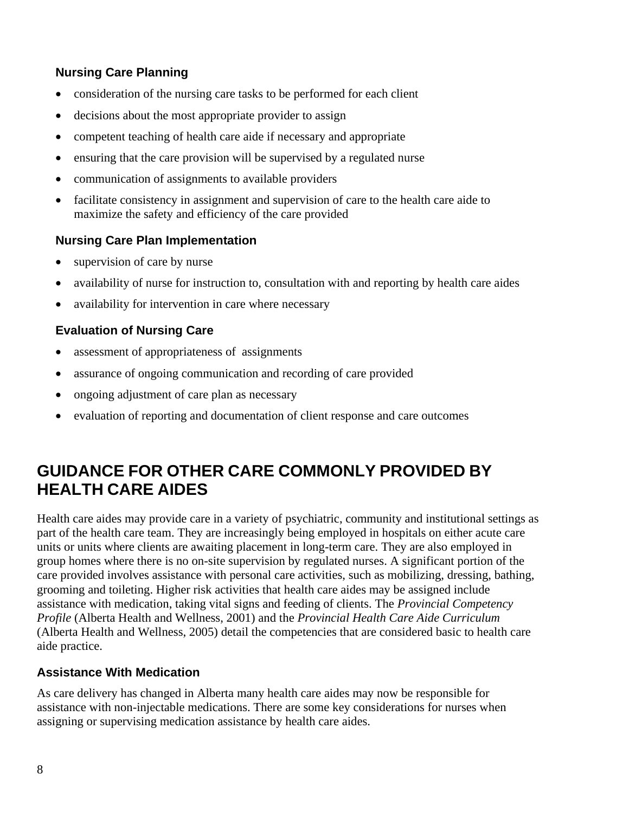### **Nursing Care Planning**

- consideration of the nursing care tasks to be performed for each client
- decisions about the most appropriate provider to assign
- competent teaching of health care aide if necessary and appropriate
- ensuring that the care provision will be supervised by a regulated nurse
- communication of assignments to available providers
- facilitate consistency in assignment and supervision of care to the health care aide to maximize the safety and efficiency of the care provided

### **Nursing Care Plan Implementation**

- supervision of care by nurse
- availability of nurse for instruction to, consultation with and reporting by health care aides
- availability for intervention in care where necessary

### **Evaluation of Nursing Care**

- assessment of appropriateness of assignments
- assurance of ongoing communication and recording of care provided
- ongoing adjustment of care plan as necessary
- evaluation of reporting and documentation of client response and care outcomes

# **GUIDANCE FOR OTHER CARE COMMONLY PROVIDED BY HEALTH CARE AIDES**

Health care aides may provide care in a variety of psychiatric, community and institutional settings as part of the health care team. They are increasingly being employed in hospitals on either acute care units or units where clients are awaiting placement in long-term care. They are also employed in group homes where there is no on-site supervision by regulated nurses. A significant portion of the care provided involves assistance with personal care activities, such as mobilizing, dressing, bathing, grooming and toileting. Higher risk activities that health care aides may be assigned include assistance with medication, taking vital signs and feeding of clients. The *Provincial Competency Profile* (Alberta Health and Wellness, 2001) and the *Provincial Health Care Aide Curriculum* (Alberta Health and Wellness, 2005) detail the competencies that are considered basic to health care aide practice.

#### **Assistance With Medication**

As care delivery has changed in Alberta many health care aides may now be responsible for assistance with non-injectable medications. There are some key considerations for nurses when assigning or supervising medication assistance by health care aides.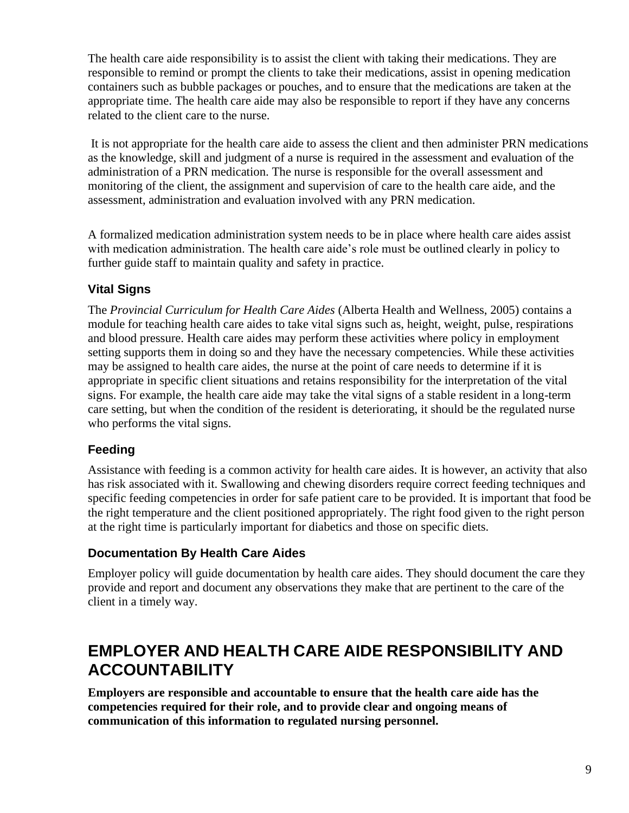The health care aide responsibility is to assist the client with taking their medications. They are responsible to remind or prompt the clients to take their medications, assist in opening medication containers such as bubble packages or pouches, and to ensure that the medications are taken at the appropriate time. The health care aide may also be responsible to report if they have any concerns related to the client care to the nurse.

It is not appropriate for the health care aide to assess the client and then administer PRN medications as the knowledge, skill and judgment of a nurse is required in the assessment and evaluation of the administration of a PRN medication. The nurse is responsible for the overall assessment and monitoring of the client, the assignment and supervision of care to the health care aide, and the assessment, administration and evaluation involved with any PRN medication.

A formalized medication administration system needs to be in place where health care aides assist with medication administration. The health care aide's role must be outlined clearly in policy to further guide staff to maintain quality and safety in practice.

### **Vital Signs**

The *Provincial Curriculum for Health Care Aides* (Alberta Health and Wellness, 2005) contains a module for teaching health care aides to take vital signs such as, height, weight, pulse, respirations and blood pressure. Health care aides may perform these activities where policy in employment setting supports them in doing so and they have the necessary competencies. While these activities may be assigned to health care aides, the nurse at the point of care needs to determine if it is appropriate in specific client situations and retains responsibility for the interpretation of the vital signs. For example, the health care aide may take the vital signs of a stable resident in a long-term care setting, but when the condition of the resident is deteriorating, it should be the regulated nurse who performs the vital signs.

### **Feeding**

Assistance with feeding is a common activity for health care aides. It is however, an activity that also has risk associated with it. Swallowing and chewing disorders require correct feeding techniques and specific feeding competencies in order for safe patient care to be provided. It is important that food be the right temperature and the client positioned appropriately. The right food given to the right person at the right time is particularly important for diabetics and those on specific diets.

### **Documentation By Health Care Aides**

Employer policy will guide documentation by health care aides. They should document the care they provide and report and document any observations they make that are pertinent to the care of the client in a timely way.

# **EMPLOYER AND HEALTH CARE AIDE RESPONSIBILITY AND ACCOUNTABILITY**

**Employers are responsible and accountable to ensure that the health care aide has the competencies required for their role, and to provide clear and ongoing means of communication of this information to regulated nursing personnel.**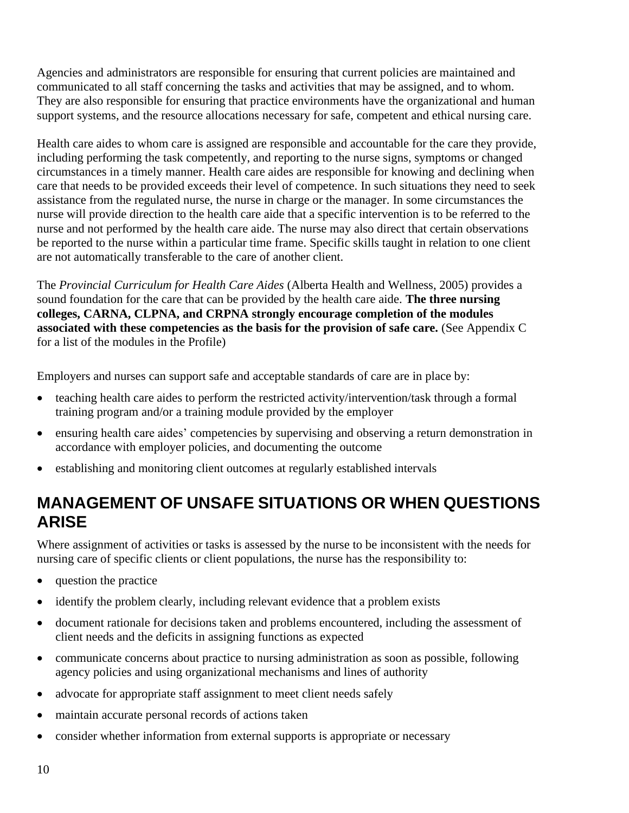Agencies and administrators are responsible for ensuring that current policies are maintained and communicated to all staff concerning the tasks and activities that may be assigned, and to whom. They are also responsible for ensuring that practice environments have the organizational and human support systems, and the resource allocations necessary for safe, competent and ethical nursing care.

Health care aides to whom care is assigned are responsible and accountable for the care they provide, including performing the task competently, and reporting to the nurse signs, symptoms or changed circumstances in a timely manner. Health care aides are responsible for knowing and declining when care that needs to be provided exceeds their level of competence. In such situations they need to seek assistance from the regulated nurse, the nurse in charge or the manager. In some circumstances the nurse will provide direction to the health care aide that a specific intervention is to be referred to the nurse and not performed by the health care aide. The nurse may also direct that certain observations be reported to the nurse within a particular time frame. Specific skills taught in relation to one client are not automatically transferable to the care of another client.

The *Provincial Curriculum for Health Care Aides* (Alberta Health and Wellness, 2005) provides a sound foundation for the care that can be provided by the health care aide. **The three nursing colleges, CARNA, CLPNA, and CRPNA strongly encourage completion of the modules associated with these competencies as the basis for the provision of safe care.** (See Appendix C for a list of the modules in the Profile)

Employers and nurses can support safe and acceptable standards of care are in place by:

- teaching health care aides to perform the restricted activity/intervention/task through a formal training program and/or a training module provided by the employer
- ensuring health care aides' competencies by supervising and observing a return demonstration in accordance with employer policies, and documenting the outcome
- establishing and monitoring client outcomes at regularly established intervals

# **MANAGEMENT OF UNSAFE SITUATIONS OR WHEN QUESTIONS ARISE**

Where assignment of activities or tasks is assessed by the nurse to be inconsistent with the needs for nursing care of specific clients or client populations, the nurse has the responsibility to:

- question the practice
- identify the problem clearly, including relevant evidence that a problem exists
- document rationale for decisions taken and problems encountered, including the assessment of client needs and the deficits in assigning functions as expected
- communicate concerns about practice to nursing administration as soon as possible, following agency policies and using organizational mechanisms and lines of authority
- advocate for appropriate staff assignment to meet client needs safely
- maintain accurate personal records of actions taken
- consider whether information from external supports is appropriate or necessary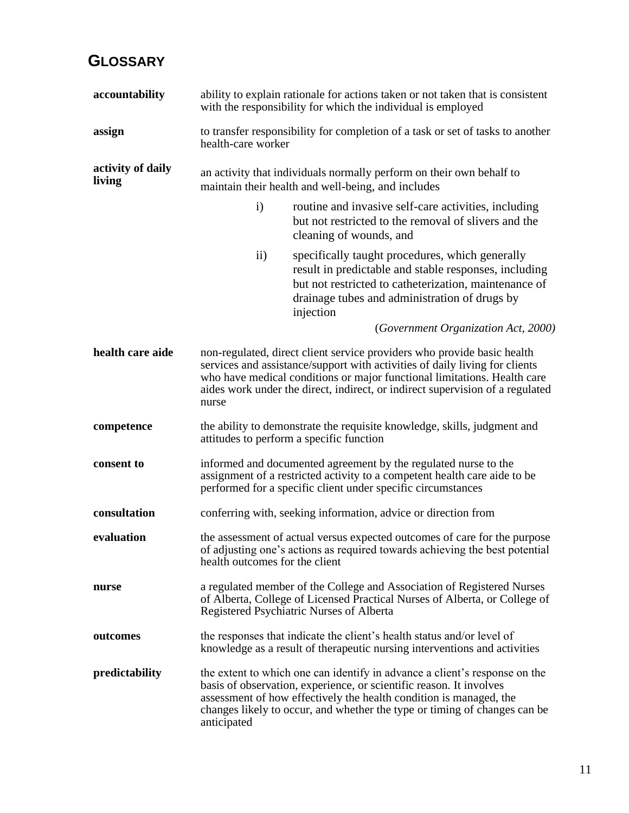# **GLOSSARY**

| accountability              | ability to explain rationale for actions taken or not taken that is consistent<br>with the responsibility for which the individual is employed                                                                                                                                                                               |                                                                                                                                                                                                                                                                                                      |  |
|-----------------------------|------------------------------------------------------------------------------------------------------------------------------------------------------------------------------------------------------------------------------------------------------------------------------------------------------------------------------|------------------------------------------------------------------------------------------------------------------------------------------------------------------------------------------------------------------------------------------------------------------------------------------------------|--|
| assign                      | to transfer responsibility for completion of a task or set of tasks to another<br>health-care worker                                                                                                                                                                                                                         |                                                                                                                                                                                                                                                                                                      |  |
| activity of daily<br>living |                                                                                                                                                                                                                                                                                                                              | an activity that individuals normally perform on their own behalf to<br>maintain their health and well-being, and includes                                                                                                                                                                           |  |
|                             | $\mathbf{i}$                                                                                                                                                                                                                                                                                                                 | routine and invasive self-care activities, including<br>but not restricted to the removal of slivers and the<br>cleaning of wounds, and                                                                                                                                                              |  |
|                             | $\rm ii)$                                                                                                                                                                                                                                                                                                                    | specifically taught procedures, which generally<br>result in predictable and stable responses, including<br>but not restricted to catheterization, maintenance of<br>drainage tubes and administration of drugs by<br>injection                                                                      |  |
|                             |                                                                                                                                                                                                                                                                                                                              | (Government Organization Act, 2000)                                                                                                                                                                                                                                                                  |  |
| health care aide            | non-regulated, direct client service providers who provide basic health<br>services and assistance/support with activities of daily living for clients<br>who have medical conditions or major functional limitations. Health care<br>aides work under the direct, indirect, or indirect supervision of a regulated<br>nurse |                                                                                                                                                                                                                                                                                                      |  |
| competence                  |                                                                                                                                                                                                                                                                                                                              | the ability to demonstrate the requisite knowledge, skills, judgment and<br>attitudes to perform a specific function                                                                                                                                                                                 |  |
| consent to                  |                                                                                                                                                                                                                                                                                                                              | informed and documented agreement by the regulated nurse to the<br>assignment of a restricted activity to a competent health care aide to be<br>performed for a specific client under specific circumstances                                                                                         |  |
| consultation                |                                                                                                                                                                                                                                                                                                                              | conferring with, seeking information, advice or direction from                                                                                                                                                                                                                                       |  |
| evaluation                  | health outcomes for the client                                                                                                                                                                                                                                                                                               | the assessment of actual versus expected outcomes of care for the purpose<br>of adjusting one's actions as required towards achieving the best potential                                                                                                                                             |  |
| nurse                       |                                                                                                                                                                                                                                                                                                                              | a regulated member of the College and Association of Registered Nurses<br>of Alberta, College of Licensed Practical Nurses of Alberta, or College of<br>Registered Psychiatric Nurses of Alberta                                                                                                     |  |
| outcomes                    |                                                                                                                                                                                                                                                                                                                              | the responses that indicate the client's health status and/or level of<br>knowledge as a result of the rapeutic nursing interventions and activities                                                                                                                                                 |  |
| predictability              | anticipated                                                                                                                                                                                                                                                                                                                  | the extent to which one can identify in advance a client's response on the<br>basis of observation, experience, or scientific reason. It involves<br>assessment of how effectively the health condition is managed, the<br>changes likely to occur, and whether the type or timing of changes can be |  |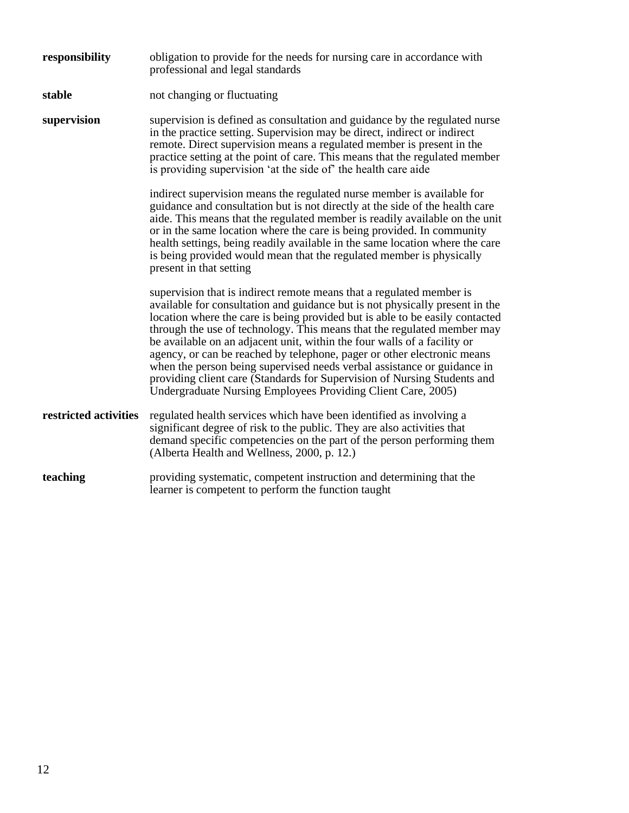| responsibility        | obligation to provide for the needs for nursing care in accordance with<br>professional and legal standards                                                                                                                                                                                                                                                                                                                                                                                                                                                                                                                                                                                   |  |  |
|-----------------------|-----------------------------------------------------------------------------------------------------------------------------------------------------------------------------------------------------------------------------------------------------------------------------------------------------------------------------------------------------------------------------------------------------------------------------------------------------------------------------------------------------------------------------------------------------------------------------------------------------------------------------------------------------------------------------------------------|--|--|
| stable                | not changing or fluctuating                                                                                                                                                                                                                                                                                                                                                                                                                                                                                                                                                                                                                                                                   |  |  |
| supervision           | supervision is defined as consultation and guidance by the regulated nurse<br>in the practice setting. Supervision may be direct, indirect or indirect<br>remote. Direct supervision means a regulated member is present in the<br>practice setting at the point of care. This means that the regulated member<br>is providing supervision 'at the side of' the health care aide                                                                                                                                                                                                                                                                                                              |  |  |
|                       | indirect supervision means the regulated nurse member is available for<br>guidance and consultation but is not directly at the side of the health care<br>aide. This means that the regulated member is readily available on the unit<br>or in the same location where the care is being provided. In community<br>health settings, being readily available in the same location where the care<br>is being provided would mean that the regulated member is physically<br>present in that setting                                                                                                                                                                                            |  |  |
|                       | supervision that is indirect remote means that a regulated member is<br>available for consultation and guidance but is not physically present in the<br>location where the care is being provided but is able to be easily contacted<br>through the use of technology. This means that the regulated member may<br>be available on an adjacent unit, within the four walls of a facility or<br>agency, or can be reached by telephone, pager or other electronic means<br>when the person being supervised needs verbal assistance or guidance in<br>providing client care (Standards for Supervision of Nursing Students and<br>Undergraduate Nursing Employees Providing Client Care, 2005) |  |  |
| restricted activities | regulated health services which have been identified as involving a<br>significant degree of risk to the public. They are also activities that<br>demand specific competencies on the part of the person performing them<br>(Alberta Health and Wellness, 2000, p. 12.)                                                                                                                                                                                                                                                                                                                                                                                                                       |  |  |
| teaching              | providing systematic, competent instruction and determining that the<br>learner is competent to perform the function taught                                                                                                                                                                                                                                                                                                                                                                                                                                                                                                                                                                   |  |  |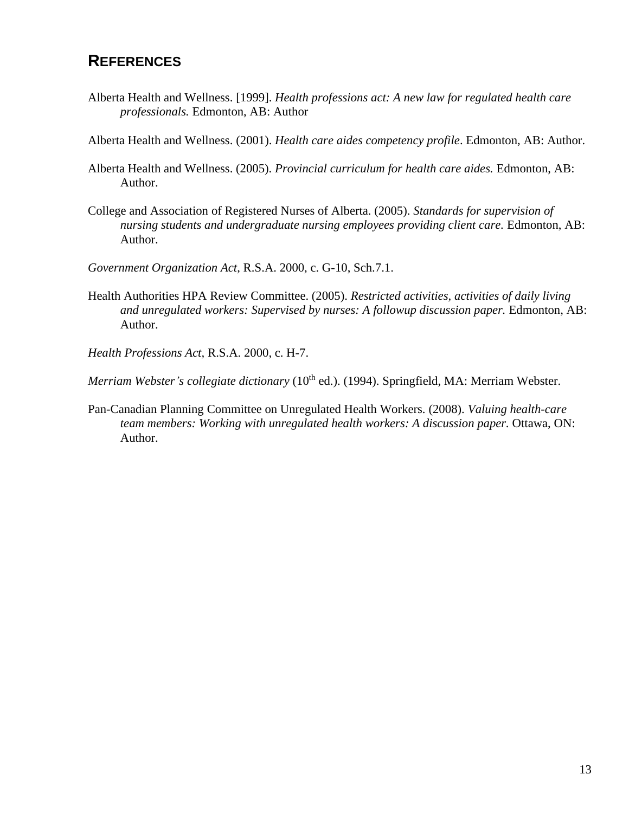### **REFERENCES**

- Alberta Health and Wellness. [1999]. *Health professions act: A new law for regulated health care professionals.* Edmonton, AB: Author
- Alberta Health and Wellness. (2001). *Health care aides competency profile*. Edmonton, AB: Author.
- Alberta Health and Wellness. (2005). *Provincial curriculum for health care aides.* Edmonton, AB: Author.
- College and Association of Registered Nurses of Alberta. (2005). *Standards for supervision of nursing students and undergraduate nursing employees providing client care.* Edmonton, AB: Author.
- *Government Organization Act*, R.S.A. 2000, c. G-10, Sch.7.1.
- Health Authorities HPA Review Committee. (2005). *Restricted activities, activities of daily living and unregulated workers: Supervised by nurses: A followup discussion paper.* Edmonton, AB: Author.
- *Health Professions Act,* R.S.A. 2000, c. H-7.

*Merriam Webster's collegiate dictionary* (10<sup>th</sup> ed.). (1994). Springfield, MA: Merriam Webster.

Pan-Canadian Planning Committee on Unregulated Health Workers. (2008). *Valuing health-care team members: Working with unregulated health workers: A discussion paper.* Ottawa, ON: Author.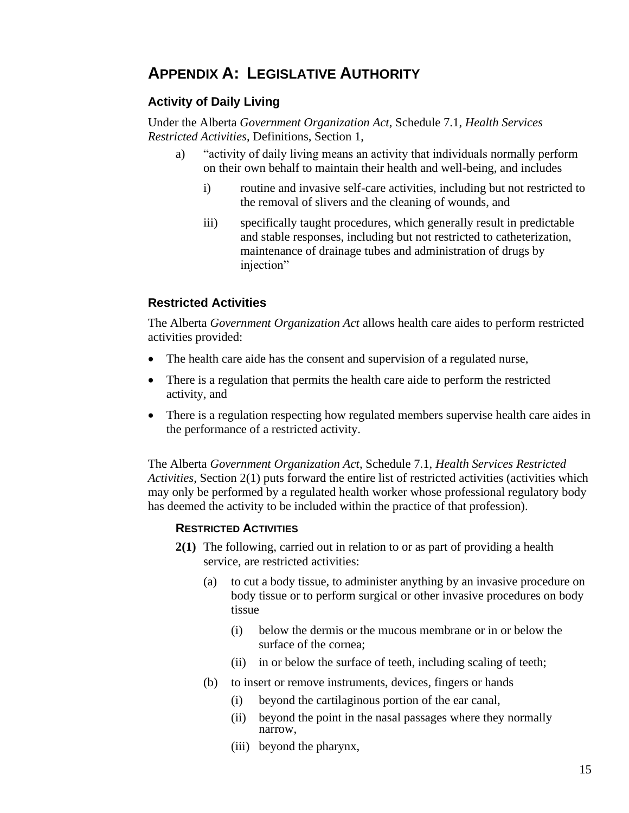### **APPENDIX A: LEGISLATIVE AUTHORITY**

### **Activity of Daily Living**

Under the Alberta *Government Organization Act*, Schedule 7.1, *Health Services Restricted Activities*, Definitions, Section 1,

- a) "activity of daily living means an activity that individuals normally perform on their own behalf to maintain their health and well-being, and includes
	- i) routine and invasive self-care activities, including but not restricted to the removal of slivers and the cleaning of wounds, and
	- iii) specifically taught procedures, which generally result in predictable and stable responses, including but not restricted to catheterization, maintenance of drainage tubes and administration of drugs by injection"

### **Restricted Activities**

The Alberta *Government Organization Act* allows health care aides to perform restricted activities provided:

- The health care aide has the consent and supervision of a regulated nurse,
- There is a regulation that permits the health care aide to perform the restricted activity, and
- There is a regulation respecting how regulated members supervise health care aides in the performance of a restricted activity.

The Alberta *Government Organization Act*, Schedule 7.1, *Health Services Restricted Activities*, Section 2(1) puts forward the entire list of restricted activities (activities which may only be performed by a regulated health worker whose professional regulatory body has deemed the activity to be included within the practice of that profession).

#### **RESTRICTED ACTIVITIES**

- **2(1)** The following, carried out in relation to or as part of providing a health service, are restricted activities:
	- (a) to cut a body tissue, to administer anything by an invasive procedure on body tissue or to perform surgical or other invasive procedures on body tissue
		- (i) below the dermis or the mucous membrane or in or below the surface of the cornea;
		- (ii) in or below the surface of teeth, including scaling of teeth;
	- (b) to insert or remove instruments, devices, fingers or hands
		- (i) beyond the cartilaginous portion of the ear canal,
		- (ii) beyond the point in the nasal passages where they normally narrow,
		- (iii) beyond the pharynx,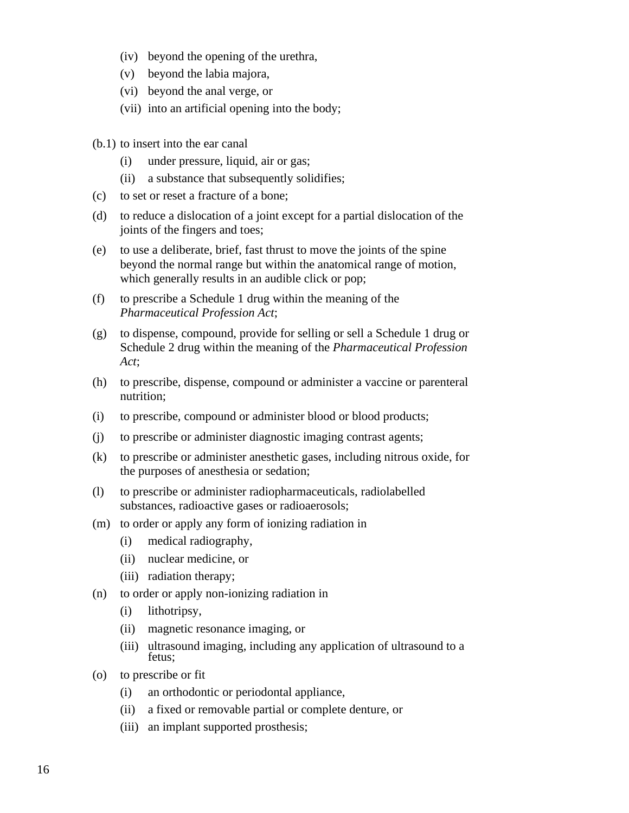- (iv) beyond the opening of the urethra,
- (v) beyond the labia majora,
- (vi) beyond the anal verge, or
- (vii) into an artificial opening into the body;
- (b.1) to insert into the ear canal
	- (i) under pressure, liquid, air or gas;
	- (ii) a substance that subsequently solidifies;
- (c) to set or reset a fracture of a bone;
- (d) to reduce a dislocation of a joint except for a partial dislocation of the joints of the fingers and toes;
- (e) to use a deliberate, brief, fast thrust to move the joints of the spine beyond the normal range but within the anatomical range of motion, which generally results in an audible click or pop;
- (f) to prescribe a Schedule 1 drug within the meaning of the *Pharmaceutical Profession Act*;
- (g) to dispense, compound, provide for selling or sell a Schedule 1 drug or Schedule 2 drug within the meaning of the *Pharmaceutical Profession Act*;
- (h) to prescribe, dispense, compound or administer a vaccine or parenteral nutrition;
- (i) to prescribe, compound or administer blood or blood products;
- (j) to prescribe or administer diagnostic imaging contrast agents;
- (k) to prescribe or administer anesthetic gases, including nitrous oxide, for the purposes of anesthesia or sedation;
- (l) to prescribe or administer radiopharmaceuticals, radiolabelled substances, radioactive gases or radioaerosols;
- (m) to order or apply any form of ionizing radiation in
	- (i) medical radiography,
	- (ii) nuclear medicine, or
	- (iii) radiation therapy;
- (n) to order or apply non-ionizing radiation in
	- (i) lithotripsy,
	- (ii) magnetic resonance imaging, or
	- (iii) ultrasound imaging, including any application of ultrasound to a fetus;
- (o) to prescribe or fit
	- (i) an orthodontic or periodontal appliance,
	- (ii) a fixed or removable partial or complete denture, or
	- (iii) an implant supported prosthesis;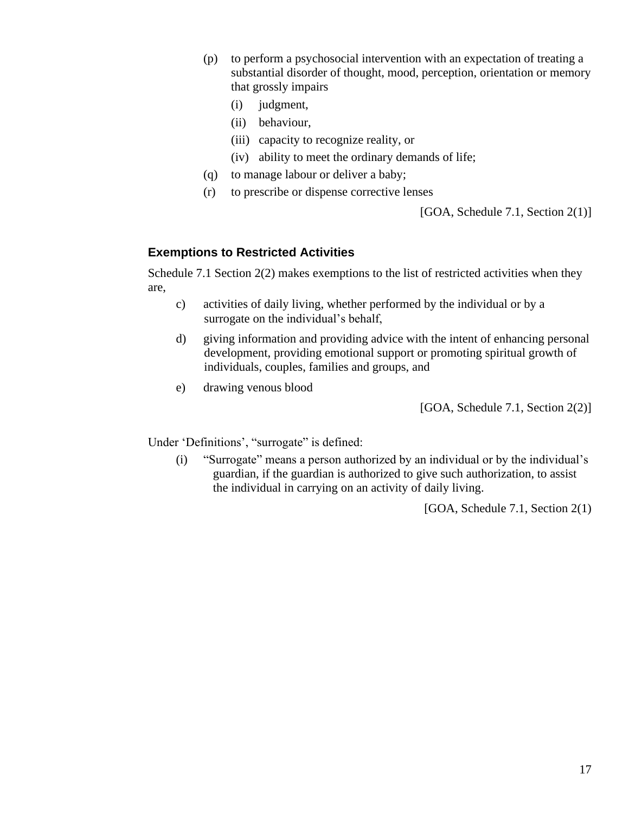- (p) to perform a psychosocial intervention with an expectation of treating a substantial disorder of thought, mood, perception, orientation or memory that grossly impairs
	- (i) judgment,
	- (ii) behaviour,
	- (iii) capacity to recognize reality, or
	- (iv) ability to meet the ordinary demands of life;
- (q) to manage labour or deliver a baby;
- (r) to prescribe or dispense corrective lenses

[GOA, Schedule 7.1, Section 2(1)]

#### **Exemptions to Restricted Activities**

Schedule 7.1 Section 2(2) makes exemptions to the list of restricted activities when they are,

- c) activities of daily living, whether performed by the individual or by a surrogate on the individual's behalf,
- d) giving information and providing advice with the intent of enhancing personal development, providing emotional support or promoting spiritual growth of individuals, couples, families and groups, and
- e) drawing venous blood

[GOA, Schedule 7.1, Section 2(2)]

Under 'Definitions', "surrogate" is defined:

(i) "Surrogate" means a person authorized by an individual or by the individual's guardian, if the guardian is authorized to give such authorization, to assist the individual in carrying on an activity of daily living.

[GOA, Schedule 7.1, Section 2(1)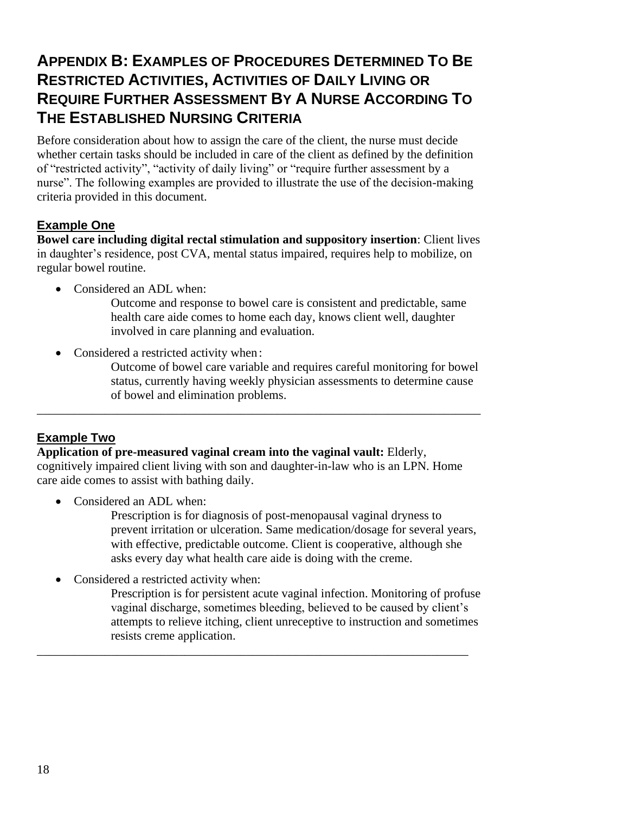# **APPENDIX B: EXAMPLES OF PROCEDURES DETERMINED TO BE RESTRICTED ACTIVITIES, ACTIVITIES OF DAILY LIVING OR REQUIRE FURTHER ASSESSMENT BY A NURSE ACCORDING TO THE ESTABLISHED NURSING CRITERIA**

Before consideration about how to assign the care of the client, the nurse must decide whether certain tasks should be included in care of the client as defined by the definition of "restricted activity", "activity of daily living" or "require further assessment by a nurse". The following examples are provided to illustrate the use of the decision-making criteria provided in this document.

### **Example One**

**Bowel care including digital rectal stimulation and suppository insertion**: Client lives in daughter's residence, post CVA, mental status impaired, requires help to mobilize, on regular bowel routine.

- Considered an ADL when:
	- Outcome and response to bowel care is consistent and predictable, same health care aide comes to home each day, knows client well, daughter involved in care planning and evaluation.
- Considered a restricted activity when:
	- Outcome of bowel care variable and requires careful monitoring for bowel status, currently having weekly physician assessments to determine cause of bowel and elimination problems.

### **Example Two**

**Application of pre-measured vaginal cream into the vaginal vault:** Elderly, cognitively impaired client living with son and daughter-in-law who is an LPN. Home care aide comes to assist with bathing daily.

\_\_\_\_\_\_\_\_\_\_\_\_\_\_\_\_\_\_\_\_\_\_\_\_\_\_\_\_\_\_\_\_\_\_\_\_\_\_\_\_\_\_\_\_\_\_\_\_\_\_\_\_\_\_\_\_\_\_\_\_\_\_\_\_\_\_\_\_\_\_

\_\_\_\_\_\_\_\_\_\_\_\_\_\_\_\_\_\_\_\_\_\_\_\_\_\_\_\_\_\_\_\_\_\_\_\_\_\_\_\_\_\_\_\_\_\_\_\_\_\_\_\_\_\_\_\_\_\_\_\_\_\_\_\_\_\_\_\_\_\_\_\_

Considered an ADL when:

Prescription is for diagnosis of post-menopausal vaginal dryness to prevent irritation or ulceration. Same medication/dosage for several years, with effective, predictable outcome. Client is cooperative, although she asks every day what health care aide is doing with the creme.

• Considered a restricted activity when:

Prescription is for persistent acute vaginal infection. Monitoring of profuse vaginal discharge, sometimes bleeding, believed to be caused by client's attempts to relieve itching, client unreceptive to instruction and sometimes resists creme application.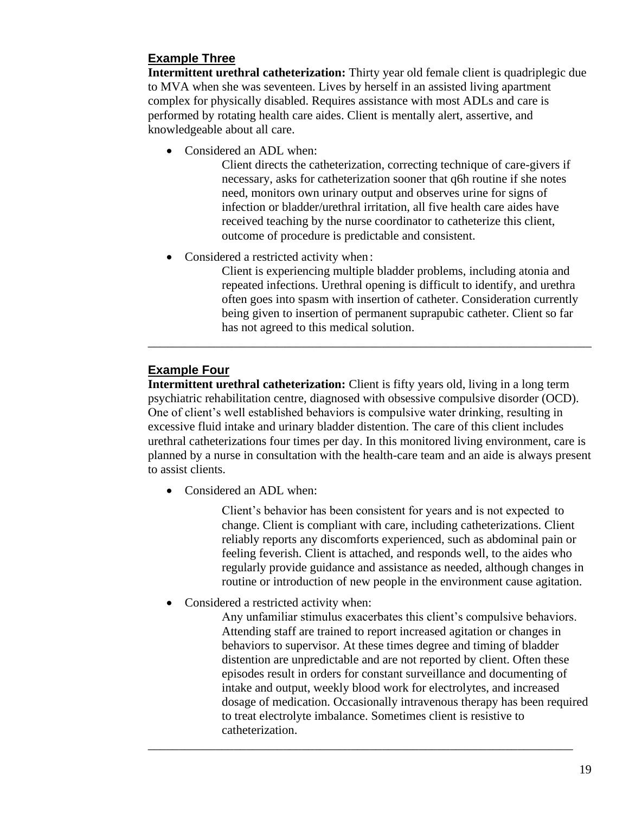### **Example Three**

**Intermittent urethral catheterization:** Thirty year old female client is quadriplegic due to MVA when she was seventeen. Lives by herself in an assisted living apartment complex for physically disabled. Requires assistance with most ADLs and care is performed by rotating health care aides. Client is mentally alert, assertive, and knowledgeable about all care.

• Considered an ADL when:

Client directs the catheterization, correcting technique of care-givers if necessary, asks for catheterization sooner that q6h routine if she notes need, monitors own urinary output and observes urine for signs of infection or bladder/urethral irritation, all five health care aides have received teaching by the nurse coordinator to catheterize this client, outcome of procedure is predictable and consistent.

• Considered a restricted activity when :

Client is experiencing multiple bladder problems, including atonia and repeated infections. Urethral opening is difficult to identify, and urethra often goes into spasm with insertion of catheter. Consideration currently being given to insertion of permanent suprapubic catheter. Client so far has not agreed to this medical solution.

### **Example Four**

**Intermittent urethral catheterization:** Client is fifty years old, living in a long term psychiatric rehabilitation centre, diagnosed with obsessive compulsive disorder (OCD). One of client's well established behaviors is compulsive water drinking, resulting in excessive fluid intake and urinary bladder distention. The care of this client includes urethral catheterizations four times per day. In this monitored living environment, care is planned by a nurse in consultation with the health-care team and an aide is always present to assist clients.

\_\_\_\_\_\_\_\_\_\_\_\_\_\_\_\_\_\_\_\_\_\_\_\_\_\_\_\_\_\_\_\_\_\_\_\_\_\_\_\_\_\_\_\_\_\_\_\_\_\_\_\_\_\_\_\_\_\_\_\_\_\_\_\_\_\_\_\_\_\_\_\_

• Considered an ADL when:

Client's behavior has been consistent for years and is not expected to change. Client is compliant with care, including catheterizations. Client reliably reports any discomforts experienced, such as abdominal pain or feeling feverish. Client is attached, and responds well, to the aides who regularly provide guidance and assistance as needed, although changes in routine or introduction of new people in the environment cause agitation.

• Considered a restricted activity when:

Any unfamiliar stimulus exacerbates this client's compulsive behaviors. Attending staff are trained to report increased agitation or changes in behaviors to supervisor. At these times degree and timing of bladder distention are unpredictable and are not reported by client. Often these episodes result in orders for constant surveillance and documenting of intake and output, weekly blood work for electrolytes, and increased dosage of medication. Occasionally intravenous therapy has been required to treat electrolyte imbalance. Sometimes client is resistive to catheterization.

\_\_\_\_\_\_\_\_\_\_\_\_\_\_\_\_\_\_\_\_\_\_\_\_\_\_\_\_\_\_\_\_\_\_\_\_\_\_\_\_\_\_\_\_\_\_\_\_\_\_\_\_\_\_\_\_\_\_\_\_\_\_\_\_\_\_\_\_\_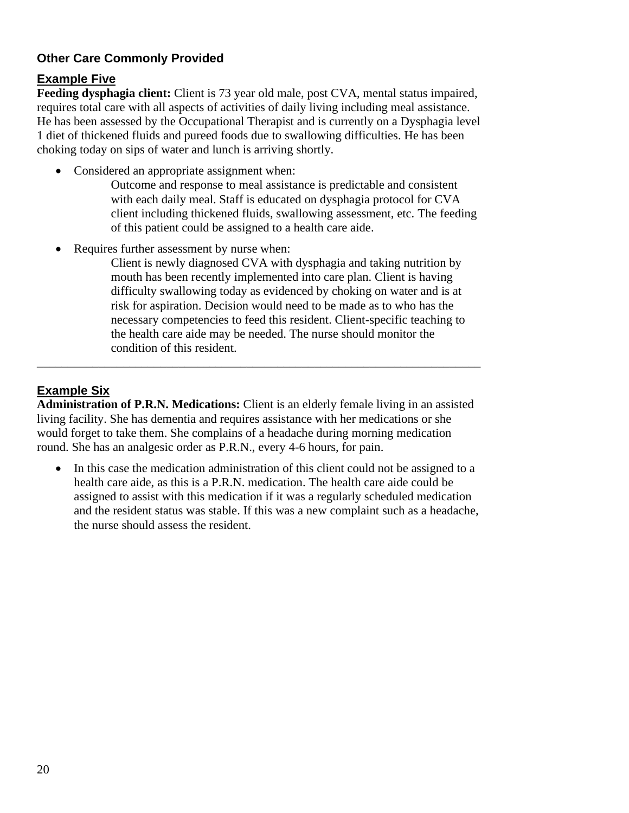### **Other Care Commonly Provided**

### **Example Five**

**Feeding dysphagia client:** Client is 73 year old male, post CVA, mental status impaired, requires total care with all aspects of activities of daily living including meal assistance. He has been assessed by the Occupational Therapist and is currently on a Dysphagia level 1 diet of thickened fluids and pureed foods due to swallowing difficulties. He has been choking today on sips of water and lunch is arriving shortly.

• Considered an appropriate assignment when:

Outcome and response to meal assistance is predictable and consistent with each daily meal. Staff is educated on dysphagia protocol for CVA client including thickened fluids, swallowing assessment, etc. The feeding of this patient could be assigned to a health care aide.

Requires further assessment by nurse when:

Client is newly diagnosed CVA with dysphagia and taking nutrition by mouth has been recently implemented into care plan. Client is having difficulty swallowing today as evidenced by choking on water and is at risk for aspiration. Decision would need to be made as to who has the necessary competencies to feed this resident. Client-specific teaching to the health care aide may be needed. The nurse should monitor the condition of this resident.

### **Example Six**

**Administration of P.R.N. Medications:** Client is an elderly female living in an assisted living facility. She has dementia and requires assistance with her medications or she would forget to take them. She complains of a headache during morning medication round. She has an analgesic order as P.R.N., every 4-6 hours, for pain.

\_\_\_\_\_\_\_\_\_\_\_\_\_\_\_\_\_\_\_\_\_\_\_\_\_\_\_\_\_\_\_\_\_\_\_\_\_\_\_\_\_\_\_\_\_\_\_\_\_\_\_\_\_\_\_\_\_\_\_\_\_\_\_\_\_\_\_\_\_\_\_\_

In this case the medication administration of this client could not be assigned to a health care aide, as this is a P.R.N. medication. The health care aide could be assigned to assist with this medication if it was a regularly scheduled medication and the resident status was stable. If this was a new complaint such as a headache, the nurse should assess the resident.